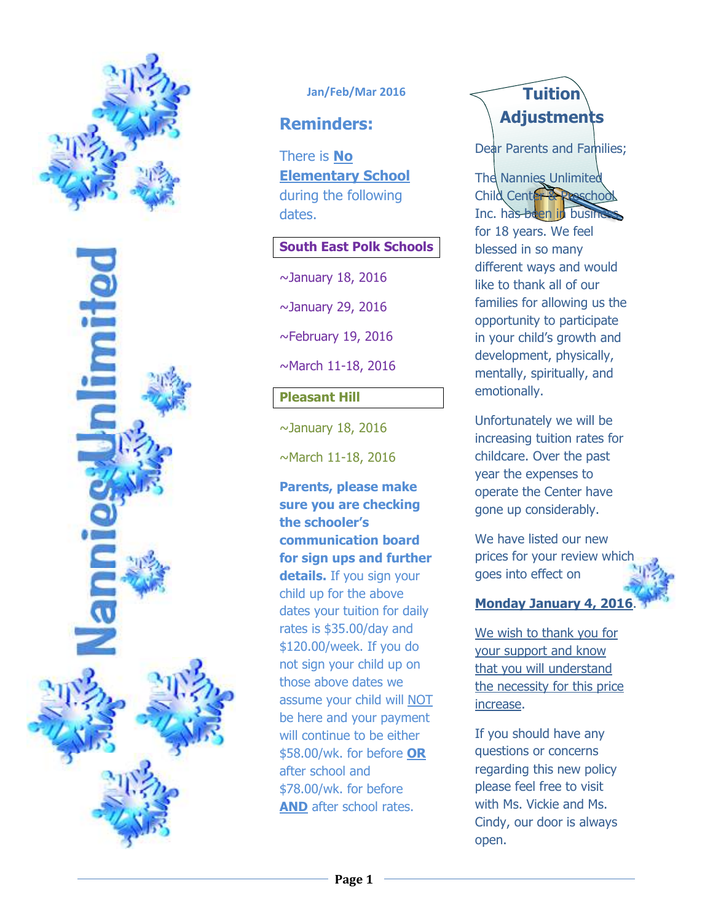

#### **Jan/Feb/Mar 2016**

## **Reminders:**

There is **No Elementary School**  during the following dates.

#### **South East Polk Schools**

 $\sim$ January 18, 2016

~January 29, 2016

 $\sim$ February 19, 2016

~March 11-18, 2016

### **Pleasant Hill**

 $\sim$ January 18, 2016

~March 11-18, 2016

**Parents, please make sure you are checking the schooler's communication board for sign ups and further details.** If you sign your child up for the above dates your tuition for daily rates is \$35.00/day and \$120.00/week. If you do not sign your child up on those above dates we assume your child will NOT be here and your payment will continue to be either \$58.00/wk. for before **OR** after school and \$78.00/wk. for before **AND** after school rates.

# **Tuition Adjustments**

Dear Parents and Families;

**The Nannies Unlimited** Child Center Inc. has been in busine for 18 years. We feel blessed in so many different ways and would like to thank all of our families for allowing us the opportunity to participate in your child's growth and development, physically, mentally, spiritually, and emotionally.

Unfortunately we will be increasing tuition rates for childcare. Over the past year the expenses to operate the Center have gone up considerably.

We have listed our new prices for your review which goes into effect on

## **Monday January 4, 201**

We wish to thank you for your support and know that you will understand the necessity for this price increase.

If you should have any questions or concerns regarding this new policy please feel free to visit with Ms. Vickie and Ms. Cindy, our door is always open.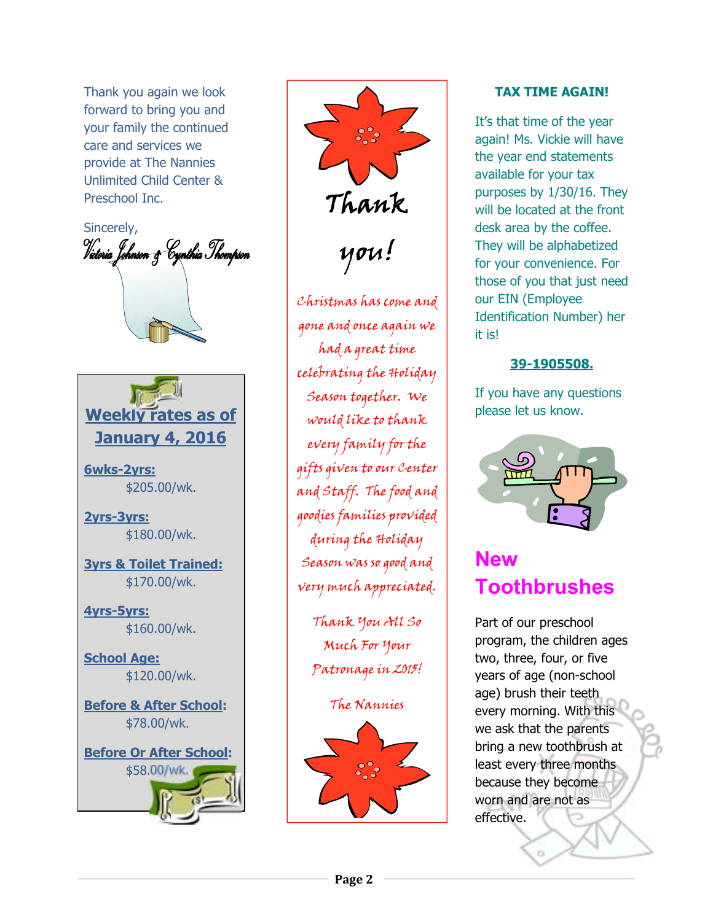Thank you again we look forward to bring you and your family the continued care and services we provide at The Nannies Unlimited Child Center & Preschool Inc.

Sincerely, Victoria Johnson & Cynthia Thompson



**6wks-2yrs:** \$205.00/wk.

**2yrs-3yrs:** \$180.00/wk.

**3yrs & Toilet Trained:** \$170.00/wk.

**4yrs-5yrs:** \$160.00/wk.

**School Age:** \$120.00/wk.

**Before & After School:** \$78.00/wk.



Thank you! Christmas has come and gone and once again we had a great time celebrating the Holiday Season together. We would like to thank every family for the gifts given to our Center and Staff. The food and goodies families provided during the Holiday Season was so good and very much appreciated.

> Thank You All So Much For Your Patronage in 2015!

> > The Nannies



#### **TAX TIME AGAIN!**

It's that time of the year again! Ms. Vickie will have the year end statements available for your tax purposes by 1/30/16. They will be located at the front desk area by the coffee. They will be alphabetized for your convenience. For those of you that just need our EIN (Employee Identification Number) her it is!

#### **39-1905508.**

If you have any questions please let us know.



# **New Toothbrushes**

Part of our preschool program, the children ages two, three, four, or five years of age (non-school age) brush their teeth every morning. With this we ask that the parents bring a new toothbrush at least every three months because they become worn and are not as effective.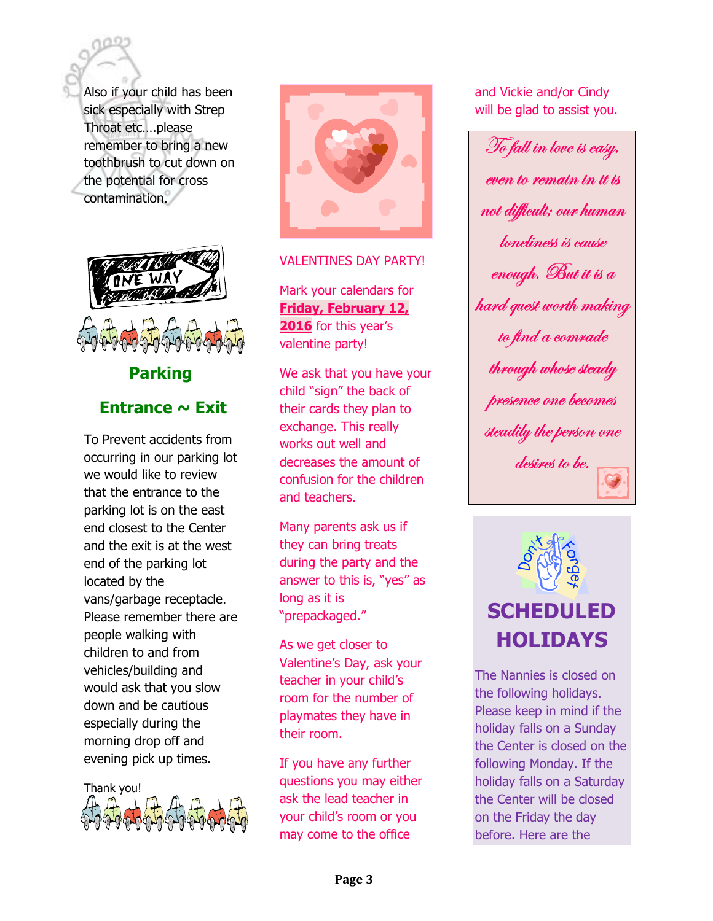Also if your child has been sick especially with Strep Throat etc....please remember to bring a new toothbrush to cut down on the potential for cross contamination.



## **Parking** Entrance  $\sim$  Exit

To Prevent accidents from occurring in our parking lot we would like to review that the entrance to the parking lot is on the east end closest to the Center and the exit is at the west end of the parking lot located by the vans/garbage receptacle. Please remember there are people walking with children to and from vehicles/building and would ask that you slow down and be cautious especially during the morning drop off and evening pick up times.





#### **VALENTINES DAY PARTY!**

Mark your calendars for **Friday, February 12,** 2016 for this year's valentine party!

We ask that you have your child "sign" the back of their cards they plan to exchange. This really works out well and decreases the amount of confusion for the children and teachers.

Many parents ask us if they can bring treats during the party and the answer to this is, "yes" as long as it is "prepackaged."

As we get closer to Valentine's Day, ask your teacher in your child's room for the number of playmates they have in their room.

If you have any further questions you may either ask the lead teacher in your child's room or you may come to the office

and Vickie and/or Cindy will be glad to assist you.

To fall in love is easy, even to remain in it is not difficult; our human loneliness is cause enough. But it is a hard quest worth making to find a comrade through whose steady presence one becomes steadily the person one desires to be.



The Nannies is closed on the following holidays. Please keep in mind if the holiday falls on a Sunday the Center is closed on the following Monday. If the holiday falls on a Saturday the Center will be closed on the Friday the day before. Here are the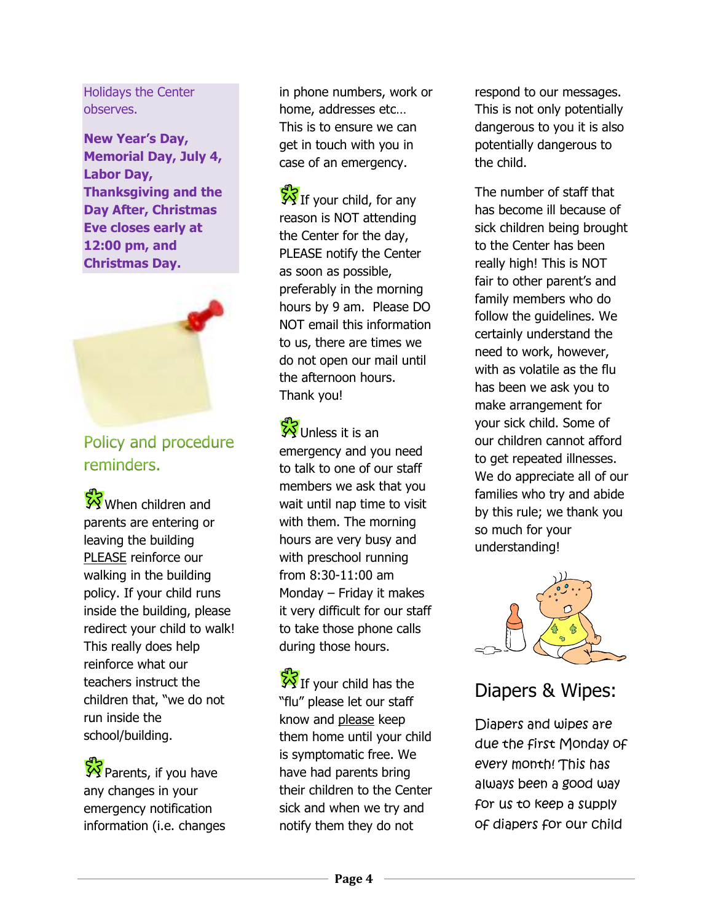Holidays the Center observes.

**New Year's Day, Memorial Day, July 4, Labor Day, Thanksgiving and the Day After, Christmas Eve closes early at 12:00 pm, and Christmas Day.** 



Policy and procedure reminders.

When children and parents are entering or leaving the building PLEASE reinforce our walking in the building policy. If your child runs inside the building, please redirect your child to walk! This really does help reinforce what our teachers instruct the children that, "we do not run inside the school/building.

 $\sqrt{\frac{1}{2}}$  Parents, if you have any changes in your emergency notification information (i.e. changes

in phone numbers, work or home, addresses etc… This is to ensure we can get in touch with you in case of an emergency.

 $\frac{1}{2}$ If your child, for any reason is NOT attending the Center for the day, PLEASE notify the Center as soon as possible, preferably in the morning hours by 9 am. Please DO NOT email this information to us, there are times we do not open our mail until the afternoon hours. Thank you!

W Unless it is an emergency and you need to talk to one of our staff members we ask that you wait until nap time to visit with them. The morning hours are very busy and with preschool running from 8:30-11:00 am Monday – Friday it makes it very difficult for our staff to take those phone calls during those hours.

If your child has the "flu" please let our staff know and please keep them home until your child is symptomatic free. We have had parents bring their children to the Center sick and when we try and notify them they do not

respond to our messages. This is not only potentially dangerous to you it is also potentially dangerous to the child.

The number of staff that has become ill because of sick children being brought to the Center has been really high! This is NOT fair to other parent's and family members who do follow the guidelines. We certainly understand the need to work, however, with as volatile as the flu has been we ask you to make arrangement for your sick child. Some of our children cannot afford to get repeated illnesses. We do appreciate all of our families who try and abide by this rule; we thank you so much for your understanding!



## Diapers & Wipes:

Diapers and wipes are due the first Monday of every month! This has always been a good way for us to keep a supply of diapers for our child